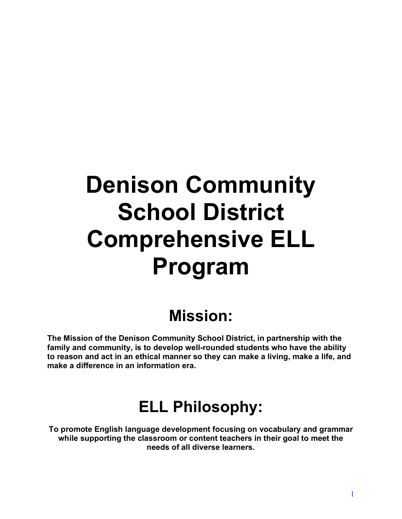# **Denison Community School District Comprehensive ELL Program**

## **Mission:**

**The Mission of the Denison Community School District, in partnership with the family and community, is to develop well-rounded students who have the ability to reason and act in an ethical manner so they can make a living, make a life, and make a difference in an information era.**

## **ELL Philosophy:**

**To promote English language development focusing on vocabulary and grammar while supporting the classroom or content teachers in their goal to meet the needs of all diverse learners.**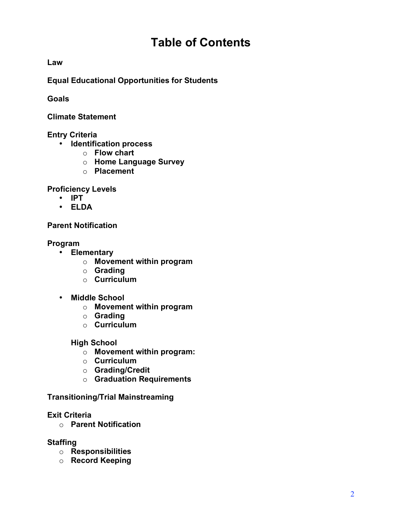## **Table of Contents**

**Law**

**Equal Educational Opportunities for Students**

**Goals**

**Climate Statement**

## **Entry Criteria**

- **Identification process**
	- o **Flow chart**
	- o **Home Language Survey**
	- o **Placement**

**Proficiency Levels**

- **IPT**
- **ELDA**

**Parent Notification**

**Program**

- **Elementary**
	- o **Movement within program**
	- o **Grading**
	- o **Curriculum**
- **Middle School**
	- o **Movement within program**
	- o **Grading**
	- o **Curriculum**

**High School**

- o **Movement within program:**
- o **Curriculum**
- o **Grading/Credit**
- o **Graduation Requirements**

**Transitioning/Trial Mainstreaming**

## **Exit Criteria**

o **Parent Notification**

## **Staffing**

- o **Responsibilities**
- o **Record Keeping**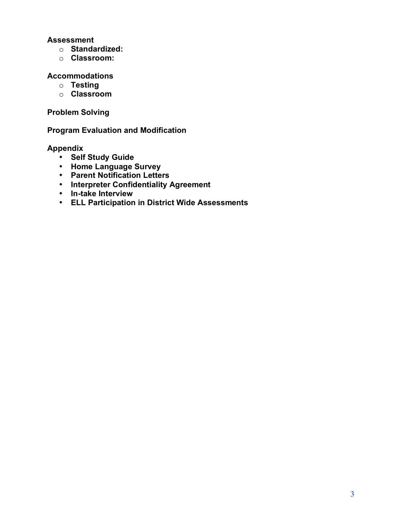## **Assessment**

- o **Standardized:**
- o **Classroom:**

#### **Accommodations**

- o **Testing**
- o **Classroom**

## **Problem Solving**

## **Program Evaluation and Modification**

## **Appendix**

- **Self Study Guide**
- **Home Language Survey**
- **Parent Notification Letters**
- **Interpreter Confidentiality Agreement**
- **In-take Interview**
- **ELL Participation in District Wide Assessments**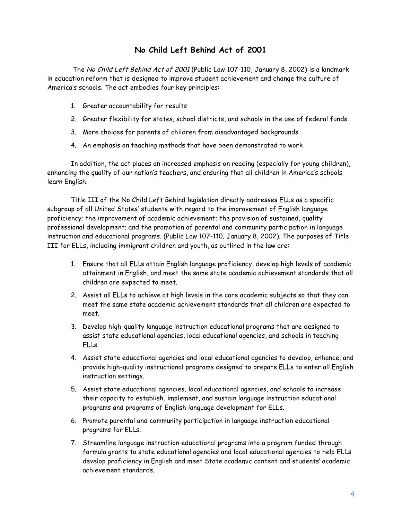## **No Child Left Behind Act of 2001**

The No Child Left Behind Act of 2001 (Public Law 107-110, January 8, 2002) is a landmark in education reform that is designed to improve student achievement and change the culture of America's schools. The act embodies four key principles:

- 1. Greater accountability for results
- 2. Greater flexibility for states, school districts, and schools in the use of federal funds
- 3. More choices for parents of children from disadvantaged backgrounds
- 4. An emphasis on teaching methods that have been demonstrated to work

In addition, the act places an increased emphasis on reading (especially for young children), enhancing the quality of our nation's teachers, and ensuring that all children in America's schools learn English.

Title III of the No Child Left Behind legislation directly addresses ELLs as a specific subgroup of all United States' students with regard to the improvement of English language proficiency; the improvement of academic achievement; the provision of sustained, quality professional development; and the promotion of parental and community participation in language instruction and educational programs. (Public Law 107-110. January 8, 2002). The purposes of Title III for ELLs, including immigrant children and youth, as outlined in the law are:

- 1. Ensure that all ELLs attain English language proficiency, develop high levels of academic attainment in English, and meet the same state academic achievement standards that all children are expected to meet.
- 2. Assist all ELLs to achieve at high levels in the core academic subjects so that they can meet the same state academic achievement standards that all children are expected to meet.
- 3. Develop high-quality language instruction educational programs that are designed to assist state educational agencies, local educational agencies, and schools in teaching ELLs.
- 4. Assist state educational agencies and local educational agencies to develop, enhance, and provide high-quality instructional programs designed to prepare ELLs to enter all English instruction settings.
- 5. Assist state educational agencies, local educational agencies, and schools to increase their capacity to establish, implement, and sustain language instruction educational programs and programs of English language development for ELLs.
- 6. Promote parental and community participation in language instruction educational programs for ELLs.
- 7. Streamline language instruction educational programs into a program funded through formula grants to state educational agencies and local educational agencies to help ELLs develop proficiency in English and meet State academic content and students' academic achievement standards.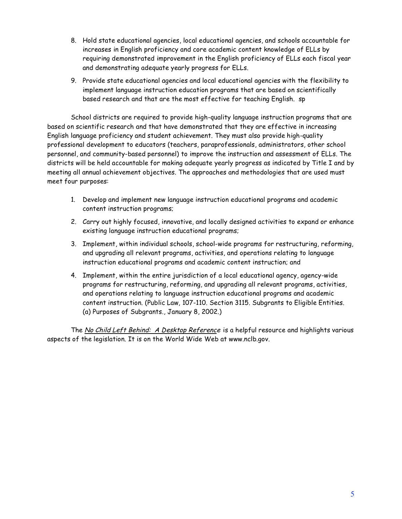- 8. Hold state educational agencies, local educational agencies, and schools accountable for increases in English proficiency and core academic content knowledge of ELLs by requiring demonstrated improvement in the English proficiency of ELLs each fiscal year and demonstrating adequate yearly progress for ELLs.
- 9. Provide state educational agencies and local educational agencies with the flexibility to implement language instruction education programs that are based on scientifically based research and that are the most effective for teaching English. sp

School districts are required to provide high-quality language instruction programs that are based on scientific research and that have demonstrated that they are effective in increasing English language proficiency and student achievement. They must also provide high-quality professional development to educators (teachers, paraprofessionals, administrators, other school personnel, and community-based personnel) to improve the instruction and assessment of ELLs. The districts will be held accountable for making adequate yearly progress as indicated by Title I and by meeting all annual achievement objectives. The approaches and methodologies that are used must meet four purposes:

- 1. Develop and implement new language instruction educational programs and academic content instruction programs;
- 2. Carry out highly focused, innovative, and locally designed activities to expand or enhance existing language instruction educational programs;
- 3. Implement, within individual schools, school-wide programs for restructuring, reforming, and upgrading all relevant programs, activities, and operations relating to language instruction educational programs and academic content instruction; and
- 4. Implement, within the entire jurisdiction of a local educational agency, agency-wide programs for restructuring, reforming, and upgrading all relevant programs, activities, and operations relating to language instruction educational programs and academic content instruction. (Public Law, 107-110. Section 3115. Subgrants to Eligible Entities. (a) Purposes of Subgrants., January 8, 2002.)

The No Child Left Behind: A Desktop Reference is a helpful resource and highlights various aspects of the legislation. It is on the World Wide Web at www.nclb.gov.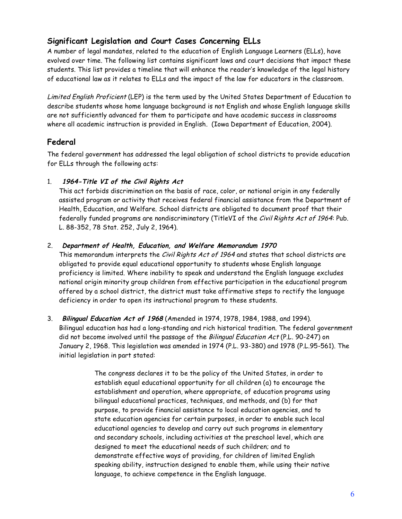## **Significant Legislation and Court Cases Concerning ELLs**

A number of legal mandates, related to the education of English Language Learners (ELLs), have evolved over time. The following list contains significant laws and court decisions that impact these students. This list provides a timeline that will enhance the reader's knowledge of the legal history of educational law as it relates to ELLs and the impact of the law for educators in the classroom.

Limited English Proficient (LEP) is the term used by the United States Department of Education to describe students whose home language background is not English and whose English language skills are not sufficiently advanced for them to participate and have academic success in classrooms where all academic instruction is provided in English. (Iowa Department of Education, 2004).

## **Federal**

The federal government has addressed the legal obligation of school districts to provide education for ELLs through the following acts:

## 1. **1964-Title VI of the Civil Rights Act**

This act forbids discrimination on the basis of race, color, or national origin in any federally assisted program or activity that receives federal financial assistance from the Department of Health, Education, and Welfare. School districts are obligated to document proof that their federally funded programs are nondiscriminatory (TitleVI of the Civil Rights Act of 1964: Pub. L. 88-352, 78 Stat. 252, July 2, 1964).

## 2. **Department of Health, Education, and Welfare Memorandum 1970**

This memorandum interprets the *Civil Rights Act of 1964* and states that school districts are obligated to provide equal educational opportunity to students whose English language proficiency is limited. Where inability to speak and understand the English language excludes national origin minority group children from effective participation in the educational program offered by a school district, the district must take affirmative steps to rectify the language deficiency in order to open its instructional program to these students.

3. **Bilingual Education Act of 1968** (Amended in 1974, 1978, 1984, 1988, and 1994). Bilingual education has had a long-standing and rich historical tradition. The federal government did not become involved until the passage of the Bilingual Education Act (P.L. 90-247) on January 2, 1968. This legislation was amended in 1974 (P.L. 93-380) and 1978 (P.L.95-561). The initial legislation in part stated:

> The congress declares it to be the policy of the United States, in order to establish equal educational opportunity for all children (a) to encourage the establishment and operation, where appropriate, of education programs using bilingual educational practices, techniques, and methods, and (b) for that purpose, to provide financial assistance to local education agencies, and to state education agencies for certain purposes, in order to enable such local educational agencies to develop and carry out such programs in elementary and secondary schools, including activities at the preschool level, which are designed to meet the educational needs of such children; and to demonstrate effective ways of providing, for children of limited English speaking ability, instruction designed to enable them, while using their native language, to achieve competence in the English language.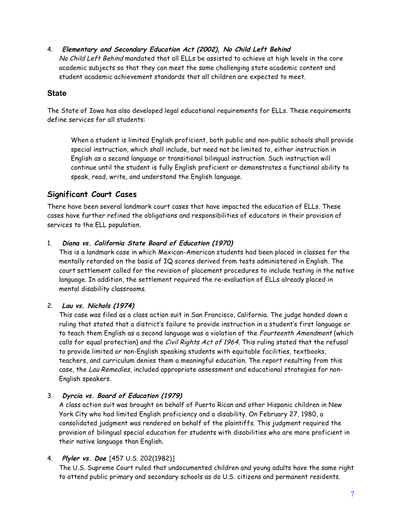4. **Elementary and Secondary Education Act (2002), No Child Left Behind** No Child Left Behind mandated that all ELLs be assisted to achieve at high levels in the core academic subjects so that they can meet the same challenging state academic content and student academic achievement standards that all children are expected to meet.

## **State**

The State of Iowa has also developed legal educational requirements for ELLs. These requirements define services for all students:

When a student is limited English proficient, both public and non-public schools shall provide special instruction, which shall include, but need not be limited to, either instruction in English as a second language or transitional bilingual instruction. Such instruction will continue until the student is fully English proficient or demonstrates a functional ability to speak, read, write, and understand the English language.

## **Significant Court Cases**

There have been several landmark court cases that have impacted the education of ELLs. These cases have further refined the obligations and responsibilities of educators in their provision of services to the ELL population.

#### 1. **Diana vs. California State Board of Education (1970)**

This is a landmark case in which Mexican-American students had been placed in classes for the mentally retarded on the basis of IQ scores derived from tests administered in English. The court settlement called for the revision of placement procedures to include testing in the native language. In addition, the settlement required the re-evaluation of ELLs already placed in mental disability classrooms.

#### 2. **Lau vs. Nichols (1974)**

This case was filed as a class action suit in San Francisco, California. The judge handed down a ruling that stated that a district's failure to provide instruction in a student's first language or to teach them English as a second language was a violation of the Fourteenth Amendment (which calls for equal protection) and the Civil Rights Act of 1964. This ruling stated that the refusal to provide limited or non-English speaking students with equitable facilities, textbooks, teachers, and curriculum denies them a meaningful education. The report resulting from this case, the Lau Remedies, included appropriate assessment and educational strategies for non-English speakers.

## 3. **Dyrcia vs. Board of Education (1979)**

A class action suit was brought on behalf of Puerto Rican and other Hispanic children in New York City who had limited English proficiency and a disability. On February 27, 1980, a consolidated judgment was rendered on behalf of the plaintiffs. This judgment required the provision of bilingual special education for students with disabilities who are more proficient in their native language than English.

## 4. **Plyler vs. Doe** [457 U.S. 202(1982)]

The U.S. Supreme Court ruled that undocumented children and young adults have the same right to attend public primary and secondary schools as do U.S. citizens and permanent residents.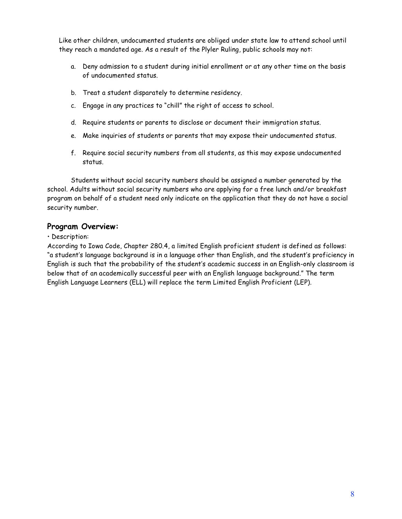Like other children, undocumented students are obliged under state law to attend school until they reach a mandated age. As a result of the Plyler Ruling, public schools may not:

- a. Deny admission to a student during initial enrollment or at any other time on the basis of undocumented status.
- b. Treat a student disparately to determine residency.
- c. Engage in any practices to "chill" the right of access to school.
- d. Require students or parents to disclose or document their immigration status.
- e. Make inquiries of students or parents that may expose their undocumented status.
- f. Require social security numbers from all students, as this may expose undocumented status.

Students without social security numbers should be assigned a number generated by the school. Adults without social security numbers who are applying for a free lunch and/or breakfast program on behalf of a student need only indicate on the application that they do not have a social security number.

#### **Program Overview:**

#### • Description:

According to Iowa Code, Chapter 280.4, a limited English proficient student is defined as follows: "a student's language background is in a language other than English, and the student's proficiency in English is such that the probability of the student's academic success in an English-only classroom is below that of an academically successful peer with an English language background." The term English Language Learners (ELL) will replace the term Limited English Proficient (LEP).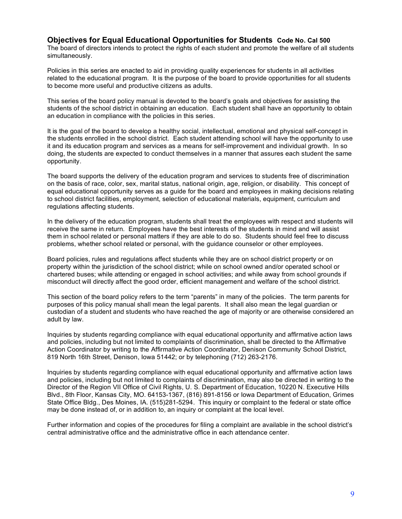#### **Objectives for Equal Educational Opportunities for Students Code No. Cal 500**

The board of directors intends to protect the rights of each student and promote the welfare of all students simultaneously.

Policies in this series are enacted to aid in providing quality experiences for students in all activities related to the educational program. It is the purpose of the board to provide opportunities for all students to become more useful and productive citizens as adults.

This series of the board policy manual is devoted to the board's goals and objectives for assisting the students of the school district in obtaining an education. Each student shall have an opportunity to obtain an education in compliance with the policies in this series.

It is the goal of the board to develop a healthy social, intellectual, emotional and physical self-concept in the students enrolled in the school district. Each student attending school will have the opportunity to use it and its education program and services as a means for self-improvement and individual growth. In so doing, the students are expected to conduct themselves in a manner that assures each student the same opportunity.

The board supports the delivery of the education program and services to students free of discrimination on the basis of race, color, sex, marital status, national origin, age, religion, or disability. This concept of equal educational opportunity serves as a guide for the board and employees in making decisions relating to school district facilities, employment, selection of educational materials, equipment, curriculum and regulations affecting students.

In the delivery of the education program, students shall treat the employees with respect and students will receive the same in return. Employees have the best interests of the students in mind and will assist them in school related or personal matters if they are able to do so. Students should feel free to discuss problems, whether school related or personal, with the guidance counselor or other employees.

Board policies, rules and regulations affect students while they are on school district property or on property within the jurisdiction of the school district; while on school owned and/or operated school or chartered buses; while attending or engaged in school activities; and while away from school grounds if misconduct will directly affect the good order, efficient management and welfare of the school district.

This section of the board policy refers to the term "parents" in many of the policies. The term parents for purposes of this policy manual shall mean the legal parents. It shall also mean the legal guardian or custodian of a student and students who have reached the age of majority or are otherwise considered an adult by law.

Inquiries by students regarding compliance with equal educational opportunity and affirmative action laws and policies, including but not limited to complaints of discrimination, shall be directed to the Affirmative Action Coordinator by writing to the Affirmative Action Coordinator, Denison Community School District, 819 North 16th Street, Denison, Iowa 51442; or by telephoning (712) 263-2176.

Inquiries by students regarding compliance with equal educational opportunity and affirmative action laws and policies, including but not limited to complaints of discrimination, may also be directed in writing to the Director of the Region VII Office of Civil Rights, U. S. Department of Education, 10220 N. Executive Hills Blvd., 8th Floor, Kansas City, MO. 64153-1367, (816) 891-8156 or Iowa Department of Education, Grimes State Office Bldg., Des Moines, IA. (515)281-5294. This inquiry or complaint to the federal or state office may be done instead of, or in addition to, an inquiry or complaint at the local level.

Further information and copies of the procedures for filing a complaint are available in the school district's central administrative office and the administrative office in each attendance center.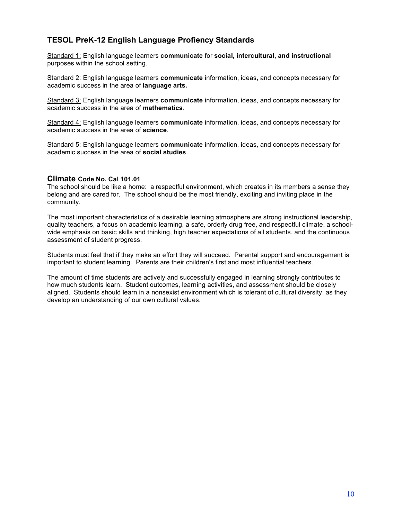## **TESOL PreK-12 English Language Profiency Standards**

Standard 1: English language learners **communicate** for **social, intercultural, and instructional** purposes within the school setting.

Standard 2: English language learners **communicate** information, ideas, and concepts necessary for academic success in the area of **language arts.**

Standard 3: English language learners **communicate** information, ideas, and concepts necessary for academic success in the area of **mathematics**.

Standard 4: English language learners **communicate** information, ideas, and concepts necessary for academic success in the area of **science**.

Standard 5: English language learners **communicate** information, ideas, and concepts necessary for academic success in the area of **social studies**.

#### **Climate Code No. Cal 101.01**

The school should be like a home: a respectful environment, which creates in its members a sense they belong and are cared for. The school should be the most friendly, exciting and inviting place in the community.

The most important characteristics of a desirable learning atmosphere are strong instructional leadership, quality teachers, a focus on academic learning, a safe, orderly drug free, and respectful climate, a schoolwide emphasis on basic skills and thinking, high teacher expectations of all students, and the continuous assessment of student progress.

Students must feel that if they make an effort they will succeed. Parental support and encouragement is important to student learning. Parents are their children's first and most influential teachers.

The amount of time students are actively and successfully engaged in learning strongly contributes to how much students learn. Student outcomes, learning activities, and assessment should be closely aligned. Students should learn in a nonsexist environment which is tolerant of cultural diversity, as they develop an understanding of our own cultural values.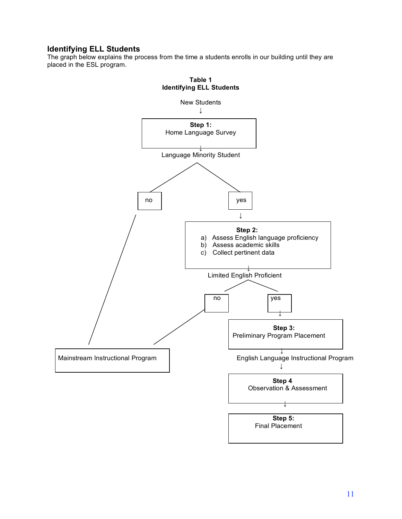## **Identifying ELL Students**

The graph below explains the process from the time a students enrolls in our building until they are placed in the ESL program.

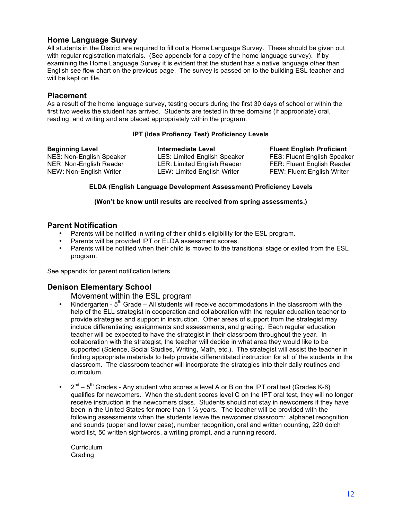## **Home Language Survey**

All students in the District are required to fill out a Home Language Survey. These should be given out with regular registration materials. (See appendix for a copy of the home language survey). If by examining the Home Language Survey it is evident that the student has a native language other than English see flow chart on the previous page. The survey is passed on to the building ESL teacher and will be kept on file.

#### **Placement**

As a result of the home language survey, testing occurs during the first 30 days of school or within the first two weeks the student has arrived. Students are tested in three domains (if appropriate) oral, reading, and writing and are placed appropriately within the program.

#### **IPT (Idea Profiency Test) Proficiency Levels**

| <b>Beginning Level</b>   | <b>Intermediate Level</b>           |
|--------------------------|-------------------------------------|
| NES: Non-English Speaker | <b>LES: Limited English Speaker</b> |
| NER: Non-English Reader  | LER: Limited English Reader         |
| NEW: Non-English Writer  | <b>LEW: Limited English Writer</b>  |

**Beginning Level Intermediate Level Fluent English Proficient** FES: Fluent English Speaker FER: Fluent English Reader FEW: Fluent English Writer

#### **ELDA (English Language Development Assessment) Proficiency Levels**

#### **(Won't be know until results are received from spring assessments.)**

#### **Parent Notification**

- Parents will be notified in writing of their child's eligibility for the ESL program.
- Parents will be provided IPT or ELDA assessment scores.
- Parents will be notified when their child is moved to the transitional stage or exited from the ESL program.

See appendix for parent notification letters.

#### **Denison Elementary School**

Movement within the ESL program

- Kindergarten  $5<sup>th</sup>$  Grade All students will receive accommodations in the classroom with the help of the ELL strategist in cooperation and collaboration with the regular education teacher to provide strategies and support in instruction. Other areas of support from the strategist may include differentiating assignments and assessments, and grading. Each regular education teacher will be expected to have the strategist in their classroom throughout the year. In collaboration with the strategist, the teacher will decide in what area they would like to be supported (Science, Social Studies, Writing, Math, etc.). The strategist will assist the teacher in finding appropriate materials to help provide differentitated instruction for all of the students in the classroom. The classroom teacher will incorporate the strategies into their daily routines and curriculum.
- $2<sup>nd</sup> 5<sup>th</sup>$  Grades Any student who scores a level A or B on the IPT oral test (Grades K-6) qualifies for newcomers. When the student scores level C on the IPT oral test, they will no longer receive instruction in the newcomers class. Students should not stay in newcomers if they have been in the United States for more than 1 ½ years. The teacher will be provided with the following assessments when the students leave the newcomer classroom: alphabet recognition and sounds (upper and lower case), number recognition, oral and written counting, 220 dolch word list, 50 written sightwords, a writing prompt, and a running record.

**Curriculum** Grading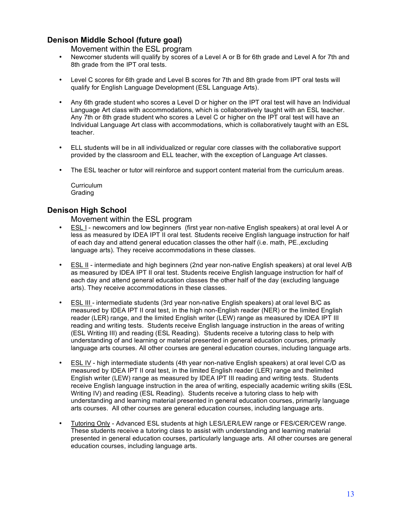## **Denison Middle School (future goal)**

Movement within the ESL program

- Newcomer students will qualify by scores of a Level A or B for 6th grade and Level A for 7th and 8th grade from the IPT oral tests.
- Level C scores for 6th grade and Level B scores for 7th and 8th grade from IPT oral tests will qualify for English Language Development (ESL Language Arts).
- Any 6th grade student who scores a Level D or higher on the IPT oral test will have an Individual Language Art class with accommodations, which is collaboratively taught with an ESL teacher. Any 7th or 8th grade student who scores a Level C or higher on the IPT oral test will have an Individual Language Art class with accommodations, which is collaboratively taught with an ESL teacher.
- ELL students will be in all individualized or regular core classes with the collaborative support provided by the classroom and ELL teacher, with the exception of Language Art classes.
- The ESL teacher or tutor will reinforce and support content material from the curriculum areas.

Curriculum Grading

#### **Denison High School**

Movement within the ESL program

- ESL I newcomers and low beginners (first year non-native English speakers) at oral level A or less as measured by IDEA IPT II oral test. Students receive English language instruction for half of each day and attend general education classes the other half (i.e. math, PE.,excluding language arts). They receive accommodations in these classes.
- ESL II intermediate and high beginners (2nd year non-native English speakers) at oral level A/B as measured by IDEA IPT II oral test. Students receive English language instruction for half of each day and attend general education classes the other half of the day (excluding language arts). They receive accommodations in these classes.
- ESL III intermediate students (3rd year non-native English speakers) at oral level B/C as measured by IDEA IPT II oral test, in the high non-English reader (NER) or the limited English reader (LER) range, and the limited English writer (LEW) range as measured by IDEA IPT III reading and writing tests. Students receive English language instruction in the areas of writing (ESL Writing III) and reading (ESL Reading). Students receive a tutoring class to help with understanding of and learning or material presented in general education courses, primarily language arts courses. All other courses are general education courses, including language arts.
- ESL IV high intermediate students (4th year non-native English speakers) at oral level C/D as measured by IDEA IPT II oral test, in the limited English reader (LER) range and thelimited English writer (LEW) range as measured by IDEA IPT III reading and writing tests. Students receive English language instruction in the area of writing, especially academic writing skills (ESL Writing IV) and reading (ESL Reading). Students receive a tutoring class to help with understanding and learning material presented in general education courses, primarily language arts courses. All other courses are general education courses, including language arts.
- Tutoring Only Advanced ESL students at high LES/LER/LEW range or FES/CER/CEW range. These students receive a tutoring class to assist with understanding and learning material presented in general education courses, particularly language arts. All other courses are general education courses, including language arts.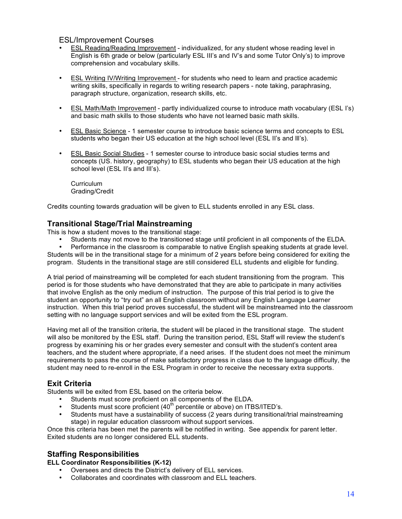#### ESL/Improvement Courses

- ESL Reading/Reading Improvement individualized, for any student whose reading level in English is 6th grade or below (particularly ESL III's and IV's and some Tutor Only's) to improve comprehension and vocabulary skills.
- ESL Writing IV/Writing Improvement for students who need to learn and practice academic writing skills, specifically in regards to writing research papers - note taking, paraphrasing, paragraph structure, organization, research skills, etc.
- ESL Math/Math Improvement partly individualized course to introduce math vocabulary (ESL I's) and basic math skills to those students who have not learned basic math skills.
- ESL Basic Science 1 semester course to introduce basic science terms and concepts to ESL students who began their US education at the high school level (ESL II's and lll's).
- ESL Basic Social Studies 1 semester course to introduce basic social studies terms and concepts (US. history, geography) to ESL students who began their US education at the high school level (ESL II's and III's).

**Curriculum** Grading/Credit

Credits counting towards graduation will be given to ELL students enrolled in any ESL class.

#### **Transitional Stage/Trial Mainstreaming**

This is how a student moves to the transitional stage:

• Students may not move to the transitioned stage until proficient in all components of the ELDA.

• Performance in the classroom is comparable to native English speaking students at grade level. Students will be in the transitional stage for a minimum of 2 years before being considered for exiting the program. Students in the transitional stage are still considered ELL students and eligible for funding.

A trial period of mainstreaming will be completed for each student transitioning from the program. This period is for those students who have demonstrated that they are able to participate in many activities that involve English as the only medium of instruction. The purpose of this trial period is to give the student an opportunity to "try out" an all English classroom without any English Language Learner instruction. When this trial period proves successful, the student will be mainstreamed into the classroom setting with no language support services and will be exited from the ESL program.

Having met all of the transition criteria, the student will be placed in the transitional stage. The student will also be monitored by the ESL staff. During the transition period, ESL Staff will review the student's progress by examining his or her grades every semester and consult with the student's content area teachers, and the student where appropriate, if a need arises. If the student does not meet the minimum requirements to pass the course of make satisfactory progress in class due to the language difficulty, the student may need to re-enroll in the ESL Program in order to receive the necessary extra supports.

## **Exit Criteria**

Students will be exited from ESL based on the criteria below.

- Students must score proficient on all components of the ELDA.
- Students must score proficient  $(40<sup>th</sup>$  percentile or above) on ITBS/ITED's.
- Students must have a sustainability of success (2 years during transitional/trial mainstreaming stage) in regular education classroom without support services.

Once this criteria has been met the parents will be notified in writing. See appendix for parent letter. Exited students are no longer considered ELL students.

#### **Staffing Responsibilities**

**ELL Coordinator Responsibilities (K-12)**

- Oversees and directs the District's delivery of ELL services.
- Collaborates and coordinates with classroom and ELL teachers.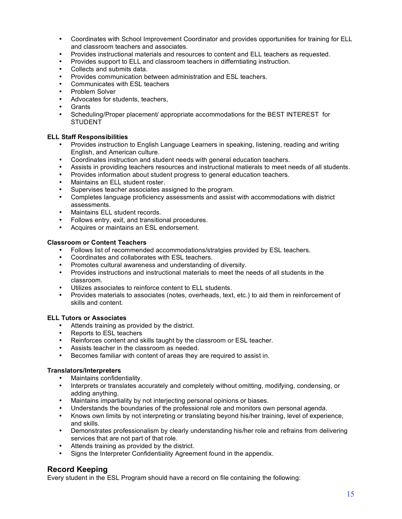- Coordinates with School Improvement Coordinator and provides opportunities for training for ELL and classroom teachers and associates.
- Provides instructional materials and resources to content and ELL teachers as requested.
- Provides support to ELL and classroom teachers in differntiating instruction.
- Collects and submits data.
- Provides communication between administration and ESL teachers.
- Communicates with ESL teachers
- Problem Solver
- Advocates for students, teachers,
- Grants
- Scheduling/Proper placement/ appropriate accommodations for the BEST INTEREST for STUDENT

#### **ELL Staff Responsibilities**

- Provides instruction to English Language Learners in speaking, listening, reading and writing English, and American culture.
- Coordinates instruction and student needs with general education teachers.
- Assists in providing teachers resources and instructional matierals to meet needs of all students.
- Provides information about student progress to general education teachers.
- Maintains an ELL student roster.
- Supervises teacher associates assigned to the program.
- Completes language proficiency assessments and assist with accommodations with district assessments.
- Maintains ELL student records.
- Follows entry, exit, and transitional procedures.
- Acquires or maintains an ESL endorsement.

#### **Classroom or Content Teachers**

- Follows list of recommended accommodations/stratgies provided by ESL teachers.
- Coordinates and collaborates with ESL teachers.
- Promotes cultural awareness and understanding of diversity.
- Provides instructions and instructional materials to meet the needs of all students in the classroom.
- Utilizes associates to reinforce content to ELL students.
- Provides materials to associates (notes, overheads, text, etc.) to aid them in reinforcement of skills and content.

#### **ELL Tutors or Associates**

- Attends training as provided by the district.
- Reports to ESL teachers
- Reinforces content and skills taught by the classroom or ESL teacher.
- Assists teacher in the classroom as needed.
- Becomes familiar with content of areas they are required to assist in.

#### **Translators/Interpreters**

- Maintains confidentiality.
- Interprets or translates accurately and completely without omitting, modifying, condensing, or adding anything.
- Maintains impartiality by not interjecting personal opinions or biases.
- Understands the boundaries of the professional role and monitors own personal agenda.
- Knows own limits by not interpreting or translating beyond his/her training, level of experience, and skills.
- Demonstrates professionalism by clearly understanding his/her role and refrains from delivering services that are not part of that role.
- Attends training as provided by the district.
- Signs the Interpreter Confidentiality Agreement found in the appendix.

## **Record Keeping**

Every student in the ESL Program should have a record on file containing the following: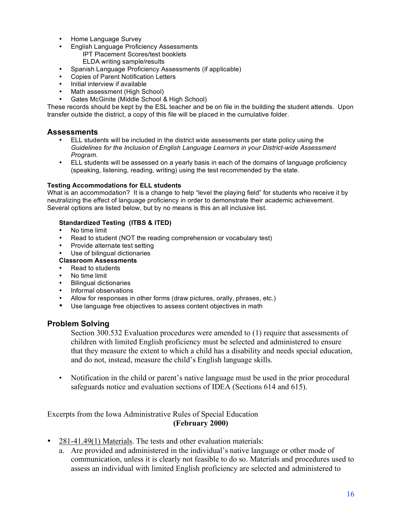- Home Language Survey
- English Language Proficiency Assessments
	- IPT Placement Scores/test booklets ELDA writing sample/results
- Spanish Language Proficiency Assessments (if applicable)
- Copies of Parent Notification Letters
- Initial interview if available
- Math assessment (High School)
- Gates McGinite (Middle School & High School)

These records should be kept by the ESL teacher and be on file in the building the student attends. Upon transfer outside the district, a copy of this file will be placed in the cumulative folder.

#### **Assessments**

- ELL students will be included in the district wide assessments per state policy using the *Guidelines for the Inclusion of English Language Learners in your District-wide Assessment Program*.
- ELL students will be assessed on a yearly basis in each of the domains of language proficiency (speaking, listening, reading, writing) using the test recommended by the state.

#### **Testing Accommodations for ELL students**

What is an accommodation? It is a change to help "level the playing field" for students who receive it by neutralizing the effect of language proficiency in order to demonstrate their academic achievement. Several options are listed below, but by no means is this an all inclusive list.

#### **Standardized Testing (ITBS & ITED)**

- No time limit
- Read to student (NOT the reading comprehension or vocabulary test)<br>• Provide alternate test setting
- Provide alternate test setting
- Use of bilingual dictionaries

#### **Classroom Assessments**

- Read to students
- No time limit
- Bilingual dictionaries
- Informal observations
- Allow for responses in other forms (draw pictures, orally, phrases, etc.)
- Use language free objectives to assess content objectives in math

#### **Problem Solving**

Section 300.532 Evaluation procedures were amended to (1) require that assessments of children with limited English proficiency must be selected and administered to ensure that they measure the extent to which a child has a disability and needs special education, and do not, instead, measure the child's English language skills.

• Notification in the child or parent's native language must be used in the prior procedural safeguards notice and evaluation sections of IDEA (Sections 614 and 615).

Excerpts from the Iowa Administrative Rules of Special Education **(February 2000)**

- 281-41.49(1) Materials. The tests and other evaluation materials:
	- a. Are provided and administered in the individual's native language or other mode of communication, unless it is clearly not feasible to do so. Materials and procedures used to assess an individual with limited English proficiency are selected and administered to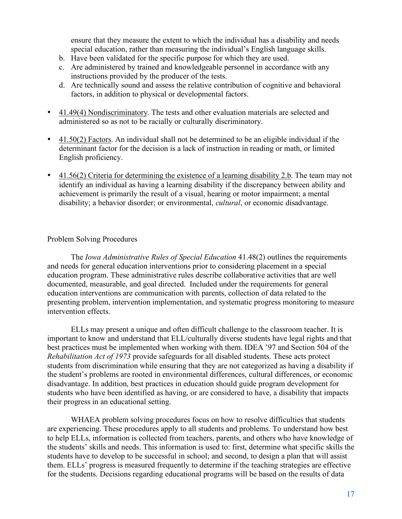ensure that they measure the extent to which the individual has a disability and needs special education, rather than measuring the individual's English language skills.

- b. Have been validated for the specific purpose for which they are used.
- c. Are administered by trained and knowledgeable personnel in accordance with any instructions provided by the producer of the tests.
- d. Are technically sound and assess the relative contribution of cognitive and behavioral factors, in addition to physical or developmental factors.
- 41.49(4) Nondiscriminatory. The tests and other evaluation materials are selected and administered so as not to be racially or culturally discriminatory.
- 41.50(2) Factors. An individual shall not be determined to be an eligible individual if the determinant factor for the decision is a lack of instruction in reading or math, or limited English proficiency.
- 41.56(2) Criteria for determining the existence of a learning disability 2.b. The team may not identify an individual as having a learning disability if the discrepancy between ability and achievement is primarily the result of a visual, hearing or motor impairment; a mental disability; a behavior disorder; or environmental, *cultural*, or economic disadvantage.

#### Problem Solving Procedures

The *Iowa Administrative Rules of Special Education* 41.48(2) outlines the requirements and needs for general education interventions prior to considering placement in a special education program. These administrative rules describe collaborative activities that are well documented, measurable, and goal directed. Included under the requirements for general education interventions are communication with parents, collection of data related to the presenting problem, intervention implementation, and systematic progress monitoring to measure intervention effects.

ELLs may present a unique and often difficult challenge to the classroom teacher. It is important to know and understand that ELL/culturally diverse students have legal rights and that best practices must be implemented when working with them. IDEA '97 and Section 504 of the *Rehabilitation Act of 1973* provide safeguards for all disabled students. These acts protect students from discrimination while ensuring that they are not categorized as having a disability if the student's problems are rooted in environmental differences, cultural differences, or economic disadvantage. In addition, best practices in education should guide program development for students who have been identified as having, or are considered to have, a disability that impacts their progress in an educational setting.

WHAEA problem solving procedures focus on how to resolve difficulties that students are experiencing. These procedures apply to all students and problems. To understand how best to help ELLs, information is collected from teachers, parents, and others who have knowledge of the students' skills and needs. This information is used to: first, determine what specific skills the students have to develop to be successful in school; and second, to design a plan that will assist them. ELLs' progress is measured frequently to determine if the teaching strategies are effective for the students. Decisions regarding educational programs will be based on the results of data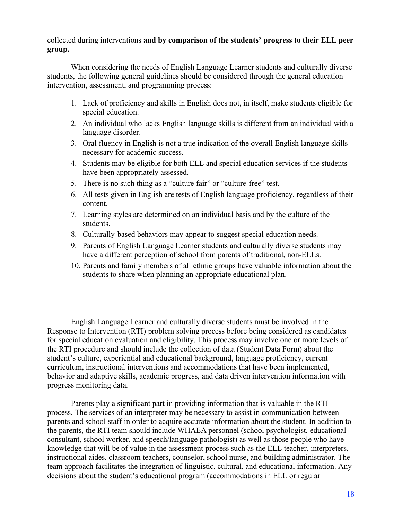collected during interventions **and by comparison of the students' progress to their ELL peer group.**

When considering the needs of English Language Learner students and culturally diverse students, the following general guidelines should be considered through the general education intervention, assessment, and programming process:

- 1. Lack of proficiency and skills in English does not, in itself, make students eligible for special education.
- 2. An individual who lacks English language skills is different from an individual with a language disorder.
- 3. Oral fluency in English is not a true indication of the overall English language skills necessary for academic success.
- 4. Students may be eligible for both ELL and special education services if the students have been appropriately assessed.
- 5. There is no such thing as a "culture fair" or "culture-free" test.
- 6. All tests given in English are tests of English language proficiency, regardless of their content.
- 7. Learning styles are determined on an individual basis and by the culture of the students.
- 8. Culturally-based behaviors may appear to suggest special education needs.
- 9. Parents of English Language Learner students and culturally diverse students may have a different perception of school from parents of traditional, non-ELLs.
- 10. Parents and family members of all ethnic groups have valuable information about the students to share when planning an appropriate educational plan.

English Language Learner and culturally diverse students must be involved in the Response to Intervention (RTI) problem solving process before being considered as candidates for special education evaluation and eligibility. This process may involve one or more levels of the RTI procedure and should include the collection of data (Student Data Form) about the student's culture, experiential and educational background, language proficiency, current curriculum, instructional interventions and accommodations that have been implemented, behavior and adaptive skills, academic progress, and data driven intervention information with progress monitoring data.

Parents play a significant part in providing information that is valuable in the RTI process. The services of an interpreter may be necessary to assist in communication between parents and school staff in order to acquire accurate information about the student. In addition to the parents, the RTI team should include WHAEA personnel (school psychologist, educational consultant, school worker, and speech/language pathologist) as well as those people who have knowledge that will be of value in the assessment process such as the ELL teacher, interpreters, instructional aides, classroom teachers, counselor, school nurse, and building administrator. The team approach facilitates the integration of linguistic, cultural, and educational information. Any decisions about the student's educational program (accommodations in ELL or regular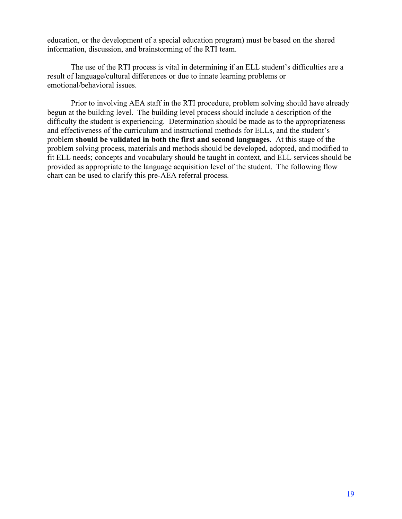education, or the development of a special education program) must be based on the shared information, discussion, and brainstorming of the RTI team.

The use of the RTI process is vital in determining if an ELL student's difficulties are a result of language/cultural differences or due to innate learning problems or emotional/behavioral issues.

Prior to involving AEA staff in the RTI procedure, problem solving should have already begun at the building level. The building level process should include a description of the difficulty the student is experiencing. Determination should be made as to the appropriateness and effectiveness of the curriculum and instructional methods for ELLs, and the student's problem **should be validated in both the first and second languages**. At this stage of the problem solving process, materials and methods should be developed, adopted, and modified to fit ELL needs; concepts and vocabulary should be taught in context, and ELL services should be provided as appropriate to the language acquisition level of the student. The following flow chart can be used to clarify this pre-AEA referral process.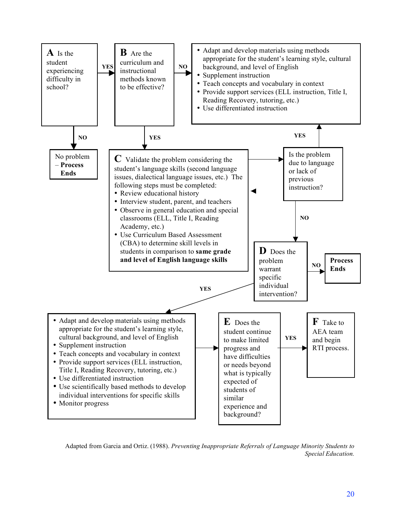

Adapted from Garcia and Ortiz. (1988). *Preventing Inappropriate Referrals of Language Minority Students to Special Education.*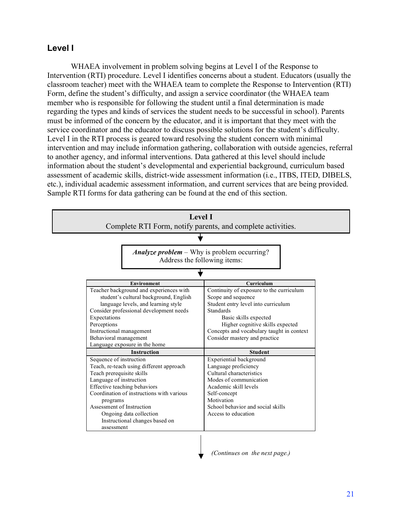## **Level I**

WHAEA involvement in problem solving begins at Level I of the Response to Intervention (RTI) procedure. Level I identifies concerns about a student. Educators (usually the classroom teacher) meet with the WHAEA team to complete the Response to Intervention (RTI) Form, define the student's difficulty, and assign a service coordinator (the WHAEA team member who is responsible for following the student until a final determination is made regarding the types and kinds of services the student needs to be successful in school). Parents must be informed of the concern by the educator, and it is important that they meet with the service coordinator and the educator to discuss possible solutions for the student's difficulty. Level I in the RTI process is geared toward resolving the student concern with minimal intervention and may include information gathering, collaboration with outside agencies, referral to another agency, and informal interventions. Data gathered at this level should include information about the student's developmental and experiential background, curriculum based assessment of academic skills, district-wide assessment information (i.e., ITBS, ITED, DIBELS, etc.), individual academic assessment information, and current services that are being provided. Sample RTI forms for data gathering can be found at the end of this section.



21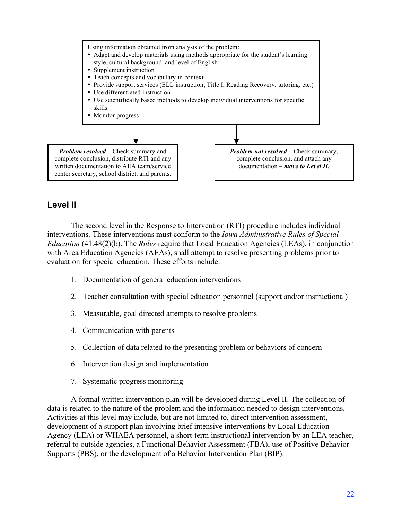

## **Level II**

The second level in the Response to Intervention (RTI) procedure includes individual interventions. These interventions must conform to the *Iowa Administrative Rules of Special Education* (41.48(2)(b). The *Rules* require that Local Education Agencies (LEAs), in conjunction with Area Education Agencies (AEAs), shall attempt to resolve presenting problems prior to evaluation for special education. These efforts include:

- 1. Documentation of general education interventions
- 2. Teacher consultation with special education personnel (support and/or instructional)
- 3. Measurable, goal directed attempts to resolve problems
- 4. Communication with parents
- 5. Collection of data related to the presenting problem or behaviors of concern
- 6. Intervention design and implementation
- 7. Systematic progress monitoring

A formal written intervention plan will be developed during Level II. The collection of data is related to the nature of the problem and the information needed to design interventions. Activities at this level may include, but are not limited to, direct intervention assessment, development of a support plan involving brief intensive interventions by Local Education Agency (LEA) or WHAEA personnel, a short-term instructional intervention by an LEA teacher, referral to outside agencies, a Functional Behavior Assessment (FBA), use of Positive Behavior Supports (PBS), or the development of a Behavior Intervention Plan (BIP).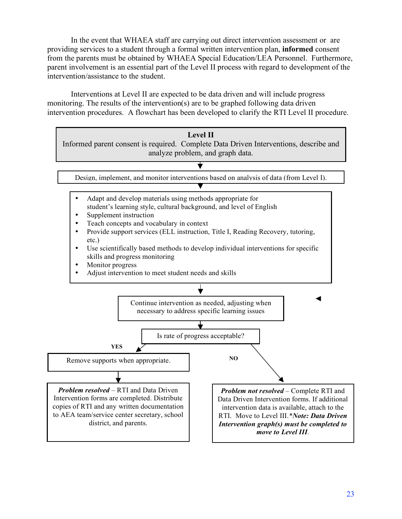In the event that WHAEA staff are carrying out direct intervention assessment or are providing services to a student through a formal written intervention plan, **informed** consent from the parents must be obtained by WHAEA Special Education/LEA Personnel. Furthermore, parent involvement is an essential part of the Level II process with regard to development of the intervention/assistance to the student.

Interventions at Level II are expected to be data driven and will include progress monitoring. The results of the intervention(s) are to be graphed following data driven intervention procedures. A flowchart has been developed to clarify the RTI Level II procedure.

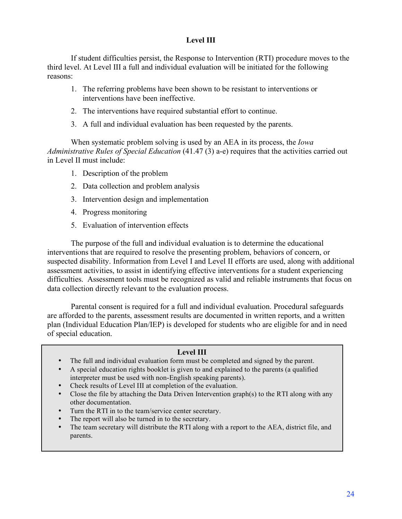## **Level III**

If student difficulties persist, the Response to Intervention (RTI) procedure moves to the third level. At Level III a full and individual evaluation will be initiated for the following reasons:

- 1. The referring problems have been shown to be resistant to interventions or interventions have been ineffective.
- 2. The interventions have required substantial effort to continue.
- 3. A full and individual evaluation has been requested by the parents.

When systematic problem solving is used by an AEA in its process, the *Iowa Administrative Rules of Special Education* (41.47 (3) a-e) requires that the activities carried out in Level II must include:

- 1. Description of the problem
- 2. Data collection and problem analysis
- 3. Intervention design and implementation
- 4. Progress monitoring
- 5. Evaluation of intervention effects

The purpose of the full and individual evaluation is to determine the educational interventions that are required to resolve the presenting problem, behaviors of concern, or suspected disability. Information from Level I and Level II efforts are used, along with additional assessment activities, to assist in identifying effective interventions for a student experiencing difficulties. Assessment tools must be recognized as valid and reliable instruments that focus on data collection directly relevant to the evaluation process.

Parental consent is required for a full and individual evaluation. Procedural safeguards are afforded to the parents, assessment results are documented in written reports, and a written plan (Individual Education Plan/IEP) is developed for students who are eligible for and in need of special education.

#### **Level III**

- The full and individual evaluation form must be completed and signed by the parent.
- A special education rights booklet is given to and explained to the parents (a qualified interpreter must be used with non-English speaking parents).
- Check results of Level III at completion of the evaluation.
- Close the file by attaching the Data Driven Intervention graph(s) to the RTI along with any other documentation.
- Turn the RTI in to the team/service center secretary.
- The report will also be turned in to the secretary.
- The team secretary will distribute the RTI along with a report to the AEA, district file, and parents.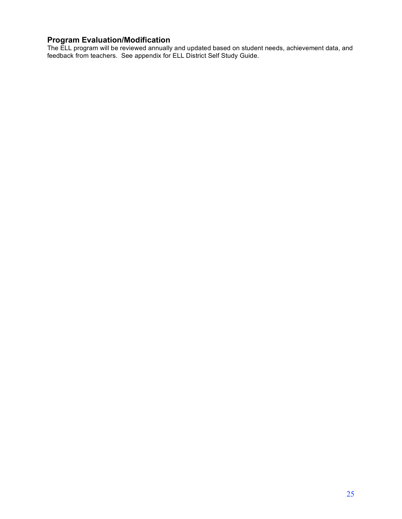#### **Program Evaluation/Modification**

The ELL program will be reviewed annually and updated based on student needs, achievement data, and feedback from teachers. See appendix for ELL District Self Study Guide.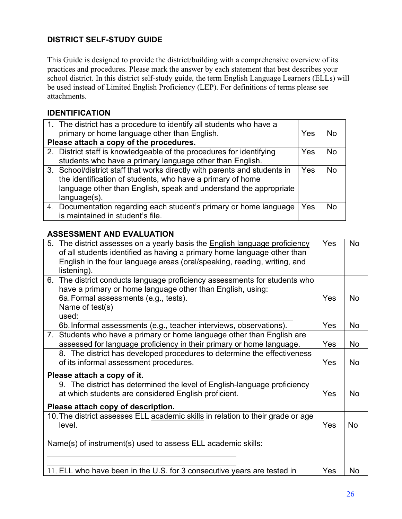## **DISTRICT SELF-STUDY GUIDE**

This Guide is designed to provide the district/building with a comprehensive overview of its practices and procedures. Please mark the answer by each statement that best describes your school district. In this district self-study guide, the term English Language Learners (ELLs) will be used instead of Limited English Proficiency (LEP). For definitions of terms please see attachments.

## **IDENTIFICATION**

| 1. The district has a procedure to identify all students who have a       |     |                |
|---------------------------------------------------------------------------|-----|----------------|
| primary or home language other than English.                              | Yes | N∩             |
| Please attach a copy of the procedures.                                   |     |                |
| 2. District staff is knowledgeable of the procedures for identifying      | Yes | N <sub>0</sub> |
| students who have a primary language other than English.                  |     |                |
| 3. School/district staff that works directly with parents and students in | Yes | N <sub>0</sub> |
| the identification of students, who have a primary of home                |     |                |
| language other than English, speak and understand the appropriate         |     |                |
| $language(s)$ .                                                           |     |                |
| 4. Documentation regarding each student's primary or home language        | Yes | Nο             |
| is maintained in student's file.                                          |     |                |

## **ASSESSMENT AND EVALUATION**

| 5. The district assesses on a yearly basis the <b>English language proficiency</b><br>of all students identified as having a primary home language other than | Yes | <b>No</b> |
|---------------------------------------------------------------------------------------------------------------------------------------------------------------|-----|-----------|
| English in the four language areas (oral/speaking, reading, writing, and<br>listening).                                                                       |     |           |
|                                                                                                                                                               |     |           |
| 6. The district conducts language proficiency assessments for students who                                                                                    |     |           |
| have a primary or home language other than English, using:                                                                                                    |     |           |
| 6a. Formal assessments (e.g., tests).                                                                                                                         | Yes | No.       |
| Name of test(s)                                                                                                                                               |     |           |
| used:                                                                                                                                                         |     |           |
| 6b. Informal assessments (e.g., teacher interviews, observations).                                                                                            | Yes | No        |
| 7. Students who have a primary or home language other than English are                                                                                        |     |           |
| assessed for language proficiency in their primary or home language.                                                                                          | Yes | No        |
| 8. The district has developed procedures to determine the effectiveness                                                                                       |     |           |
| of its informal assessment procedures.                                                                                                                        | Yes | <b>No</b> |
|                                                                                                                                                               |     |           |
| Please attach a copy of it.                                                                                                                                   |     |           |
| 9. The district has determined the level of English-language proficiency                                                                                      |     |           |
| at which students are considered English proficient.                                                                                                          | Yes | <b>No</b> |
|                                                                                                                                                               |     |           |
| Please attach copy of description.                                                                                                                            |     |           |
| 10. The district assesses ELL academic skills in relation to their grade or age                                                                               |     |           |
| level.                                                                                                                                                        | Yes | <b>No</b> |
|                                                                                                                                                               |     |           |
| Name(s) of instrument(s) used to assess ELL academic skills:                                                                                                  |     |           |
|                                                                                                                                                               |     |           |
|                                                                                                                                                               |     |           |
| 11. ELL who have been in the U.S. for 3 consecutive years are tested in                                                                                       | Yes | No        |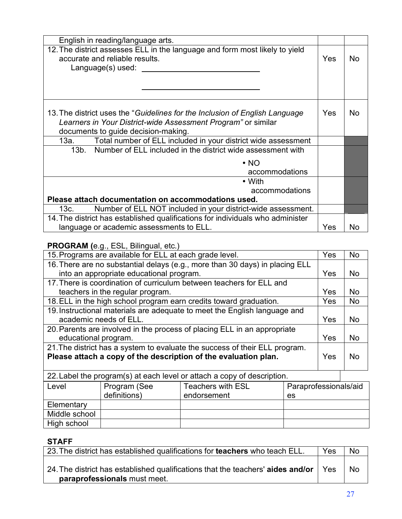| English in reading/language arts.                                                                                                                                                   |     |     |
|-------------------------------------------------------------------------------------------------------------------------------------------------------------------------------------|-----|-----|
| 12. The district assesses ELL in the language and form most likely to yield<br>accurate and reliable results.<br>Language(s) used: $\sqrt{ }$                                       | Yes | No. |
|                                                                                                                                                                                     |     |     |
| 13. The district uses the "Guidelines for the Inclusion of English Language<br>Learners in Your District-wide Assessment Program" or similar<br>documents to guide decision-making. |     | No. |
| 13a. Total number of ELL included in your district wide assessment                                                                                                                  |     |     |
| 13b. Number of ELL included in the district wide assessment with                                                                                                                    |     |     |
| $\cdot$ NO                                                                                                                                                                          |     |     |
| accommodations                                                                                                                                                                      |     |     |
| • With                                                                                                                                                                              |     |     |
| accommodations                                                                                                                                                                      |     |     |
| Please attach documentation on accommodations used.                                                                                                                                 |     |     |
| Number of ELL NOT included in your district-wide assessment.<br>13c.                                                                                                                |     |     |
| 14. The district has established qualifications for individuals who administer                                                                                                      |     |     |
| language or academic assessments to ELL.                                                                                                                                            | Yes | No  |

## **PROGRAM (**e.g., ESL, Bilingual, etc.)

| 15. Programs are available for ELL at each grade level.                      | Yes | <b>No</b>      |
|------------------------------------------------------------------------------|-----|----------------|
| 16. There are no substantial delays (e.g., more than 30 days) in placing ELL |     |                |
| into an appropriate educational program.                                     | Yes | N <sub>o</sub> |
| 17. There is coordination of curriculum between teachers for ELL and         |     |                |
| teachers in the regular program.                                             | Yes | <b>No</b>      |
| 18. ELL in the high school program earn credits toward graduation.           | Yes | <b>No</b>      |
| 19. Instructional materials are adequate to meet the English language and    |     |                |
| academic needs of ELL.                                                       | Yes | <b>No</b>      |
| 20. Parents are involved in the process of placing ELL in an appropriate     |     |                |
| educational program.                                                         | Yes | <b>No</b>      |
| 21. The district has a system to evaluate the success of their ELL program.  |     |                |
| Please attach a copy of the description of the evaluation plan.              | Yes | <b>No</b>      |
|                                                                              |     |                |
| 22. Label the program(s) at each level or attach a copy of description.      |     |                |

| $=$ $=$ $\frac{1}{2}$ $\frac{1}{2}$ $\frac{1}{2}$ $\frac{1}{2}$ $\frac{1}{2}$ $\frac{1}{2}$ $\frac{1}{2}$ $\frac{1}{2}$ $\frac{1}{2}$ $\frac{1}{2}$ $\frac{1}{2}$ $\frac{1}{2}$ $\frac{1}{2}$ $\frac{1}{2}$ $\frac{1}{2}$ $\frac{1}{2}$ $\frac{1}{2}$ $\frac{1}{2}$ $\frac{1}{2}$ $\frac{1}{2}$ $\frac{1}{2}$ $\frac$ |              |                   |                       |  |
|-----------------------------------------------------------------------------------------------------------------------------------------------------------------------------------------------------------------------------------------------------------------------------------------------------------------------|--------------|-------------------|-----------------------|--|
| Level                                                                                                                                                                                                                                                                                                                 | Program (See | Teachers with ESL | Paraprofessionals/aid |  |
|                                                                                                                                                                                                                                                                                                                       | definitions) | endorsement       | es                    |  |
| Elementary                                                                                                                                                                                                                                                                                                            |              |                   |                       |  |
| Middle school                                                                                                                                                                                                                                                                                                         |              |                   |                       |  |
| High school                                                                                                                                                                                                                                                                                                           |              |                   |                       |  |

## **STAFF**

| 23. The district has established qualifications for teachers who teach ELL.                                     | <b>Yes</b> | <b>No</b> |
|-----------------------------------------------------------------------------------------------------------------|------------|-----------|
| 24. The district has established qualifications that the teachers' aides and/or<br>paraprofessionals must meet. |            | <b>No</b> |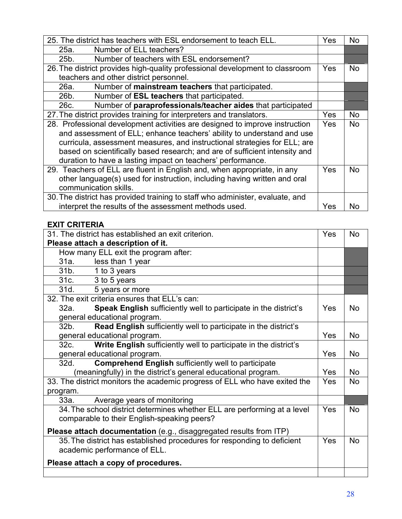| 25. The district has teachers with ESL endorsement to teach ELL.              | Yes | No  |
|-------------------------------------------------------------------------------|-----|-----|
| Number of ELL teachers?<br>25a.                                               |     |     |
| Number of teachers with ESL endorsement?<br>25b.                              |     |     |
| 26. The district provides high-quality professional development to classroom  | Yes | No. |
| teachers and other district personnel.                                        |     |     |
| Number of mainstream teachers that participated.<br>26a.                      |     |     |
| 26b.<br>Number of <b>ESL teachers</b> that participated.                      |     |     |
| Number of paraprofessionals/teacher aides that participated<br>26c.           |     |     |
| 27. The district provides training for interpreters and translators.          | Yes | No. |
| 28. Professional development activities are designed to improve instruction   | Yes | No. |
| and assessment of ELL; enhance teachers' ability to understand and use        |     |     |
| curricula, assessment measures, and instructional strategies for ELL; are     |     |     |
| based on scientifically based research; and are of sufficient intensity and   |     |     |
| duration to have a lasting impact on teachers' performance.                   |     |     |
| 29. Teachers of ELL are fluent in English and, when appropriate, in any       | Yes | No. |
| other language(s) used for instruction, including having written and oral     |     |     |
| communication skills.                                                         |     |     |
| 30. The district has provided training to staff who administer, evaluate, and |     |     |
| interpret the results of the assessment methods used.                         | Yes | N٥  |
|                                                                               |     |     |

## **EXIT CRITERIA**

| 31. The district has established an exit criterion.                               | Yes | <b>No</b> |
|-----------------------------------------------------------------------------------|-----|-----------|
| Please attach a description of it.                                                |     |           |
| How many ELL exit the program after:                                              |     |           |
| 31a. less than 1 year                                                             |     |           |
| 31b. 1 to 3 years                                                                 |     |           |
| 31c.<br>3 to 5 years                                                              |     |           |
| 31d.<br>5 years or more                                                           |     |           |
| 32. The exit criteria ensures that ELL's can:                                     |     |           |
| Speak English sufficiently well to participate in the district's<br>32a.          | Yes | <b>No</b> |
| general educational program.                                                      |     |           |
| <b>Read English sufficiently well to participate in the district's</b><br>$32b$ . |     |           |
| general educational program.                                                      | Yes | <b>No</b> |
| Write English sufficiently well to participate in the district's<br>32c.          |     |           |
| general educational program.                                                      | Yes | <b>No</b> |
| <b>Comprehend English sufficiently well to participate</b><br>32d.                |     |           |
| (meaningfully) in the district's general educational program.                     | Yes | <b>No</b> |
| 33. The district monitors the academic progress of ELL who have exited the        | Yes | <b>No</b> |
| program.                                                                          |     |           |
| Average years of monitoring<br>33a.                                               |     |           |
| 34. The school district determines whether ELL are performing at a level          | Yes | <b>No</b> |
| comparable to their English-speaking peers?                                       |     |           |
| Please attach documentation (e.g., disaggregated results from ITP)                |     |           |
| 35. The district has established procedures for responding to deficient           | Yes | <b>No</b> |
| academic performance of ELL.                                                      |     |           |
| Please attach a copy of procedures.                                               |     |           |
|                                                                                   |     |           |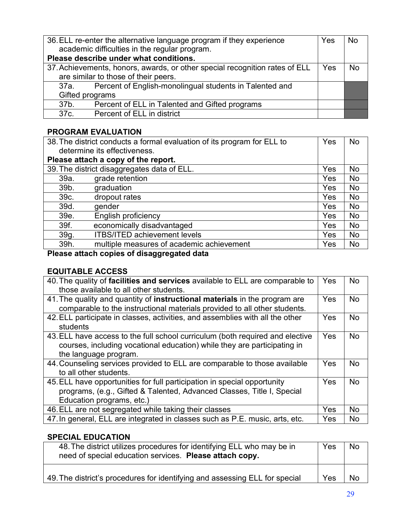| 36. ELL re-enter the alternative language program if they experience<br>academic difficulties in the regular program. |     | <b>No</b> |
|-----------------------------------------------------------------------------------------------------------------------|-----|-----------|
| Please describe under what conditions.                                                                                |     |           |
| 37. Achievements, honors, awards, or other special recognition rates of ELL                                           | Yes | <b>No</b> |
| are similar to those of their peers.                                                                                  |     |           |
| Percent of English-monolingual students in Talented and<br>37a.                                                       |     |           |
| Gifted programs                                                                                                       |     |           |
| Percent of ELL in Talented and Gifted programs<br>37b.                                                                |     |           |
| Percent of ELL in district<br>37c.                                                                                    |     |           |

## **PROGRAM EVALUATION**

|      | 38. The district conducts a formal evaluation of its program for ELL to |     | No             |
|------|-------------------------------------------------------------------------|-----|----------------|
|      | determine its effectiveness.                                            |     |                |
|      | Please attach a copy of the report.                                     |     |                |
|      | 39. The district disaggregates data of ELL.                             | Yes | No             |
| 39a. | grade retention                                                         | Yes | No             |
| 39b. | graduation                                                              | Yes | No             |
| 39c. | dropout rates                                                           | Yes | <b>No</b>      |
| 39d. | gender                                                                  | Yes | <b>No</b>      |
| 39e. | English proficiency                                                     | Yes | No             |
| 39f. | economically disadvantaged                                              | Yes | No             |
| 39g. | <b>ITBS/ITED achievement levels</b>                                     | Yes | N <sub>o</sub> |
| 39h. | multiple measures of academic achievement                               | Yes | No             |
|      | .                                                                       |     |                |

## **Please attach copies of disaggregated data**

## **EQUITABLE ACCESS**

| 40. The quality of facilities and services available to ELL are comparable to<br>those available to all other students.                                                            | Yes | <b>No</b> |
|------------------------------------------------------------------------------------------------------------------------------------------------------------------------------------|-----|-----------|
| 41. The quality and quantity of instructional materials in the program are<br>comparable to the instructional materials provided to all other students.                            | Yes | <b>No</b> |
| 42. ELL participate in classes, activities, and assemblies with all the other<br>students                                                                                          | Yes | <b>No</b> |
| 43. ELL have access to the full school curriculum (both required and elective<br>courses, including vocational education) while they are participating in<br>the language program. | Yes | <b>No</b> |
| 44. Counseling services provided to ELL are comparable to those available<br>to all other students.                                                                                | Yes | <b>No</b> |
| 45. ELL have opportunities for full participation in special opportunity<br>programs, (e.g., Gifted & Talented, Advanced Classes, Title I, Special<br>Education programs, etc.)    | Yes | <b>No</b> |
| 46. ELL are not segregated while taking their classes                                                                                                                              | Yes | <b>No</b> |
| 47. In general, ELL are integrated in classes such as P.E. music, arts, etc.                                                                                                       | Yes | <b>No</b> |

## **SPECIAL EDUCATION**

| 48. The district utilizes procedures for identifying ELL who may be in<br>need of special education services. Please attach copy. | Yes | <b>No</b> |
|-----------------------------------------------------------------------------------------------------------------------------------|-----|-----------|
| 49. The district's procedures for identifying and assessing ELL for special                                                       | Yes | <b>No</b> |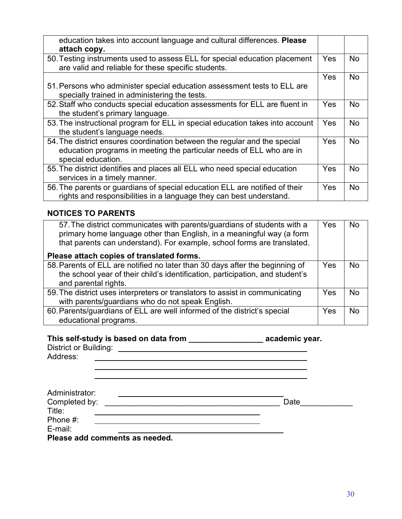| education takes into account language and cultural differences. Please<br>attach copy.                                                                                  |            |           |
|-------------------------------------------------------------------------------------------------------------------------------------------------------------------------|------------|-----------|
| 50. Testing instruments used to assess ELL for special education placement<br>are valid and reliable for these specific students.                                       | Yes        | No.       |
|                                                                                                                                                                         | Yes        | <b>No</b> |
| 51. Persons who administer special education assessment tests to ELL are<br>specially trained in administering the tests.                                               |            |           |
| 52. Staff who conducts special education assessments for ELL are fluent in<br>the student's primary language.                                                           | <b>Yes</b> | No.       |
| 53. The instructional program for ELL in special education takes into account<br>the student's language needs.                                                          | Yes        | <b>No</b> |
| 54. The district ensures coordination between the regular and the special<br>education programs in meeting the particular needs of ELL who are in<br>special education. | Yes        | <b>No</b> |
| 55. The district identifies and places all ELL who need special education<br>services in a timely manner.                                                               | <b>Yes</b> | <b>No</b> |
| 56. The parents or guardians of special education ELL are notified of their<br>rights and responsibilities in a language they can best understand.                      | Yes        | No.       |

## **NOTICES TO PARENTS**

| 57. The district communicates with parents/guardians of students with a<br>primary home language other than English, in a meaningful way (a form<br>that parents can understand). For example, school forms are translated.<br>Please attach copies of translated forms. | Yes | <b>No</b> |
|--------------------------------------------------------------------------------------------------------------------------------------------------------------------------------------------------------------------------------------------------------------------------|-----|-----------|
| 58. Parents of ELL are notified no later than 30 days after the beginning of<br>the school year of their child's identification, participation, and student's<br>and parental rights.                                                                                    | Yes | <b>No</b> |
| 59. The district uses interpreters or translators to assist in communicating<br>with parents/guardians who do not speak English.                                                                                                                                         | Yes | <b>No</b> |
| 60. Parents/guardians of ELL are well informed of the district's special<br>educational programs.                                                                                                                                                                        | Yes | <b>No</b> |

## **This self-study is based on data from \_\_\_\_\_\_\_\_\_\_\_\_\_\_\_\_\_ academic year.**

| District or Building:<br>Address: |      |  |
|-----------------------------------|------|--|
|                                   |      |  |
| Administrator:<br>Completed by:   | Date |  |
| Title:<br>Phone #:                |      |  |

**Please add comments as needed.**

E-mail: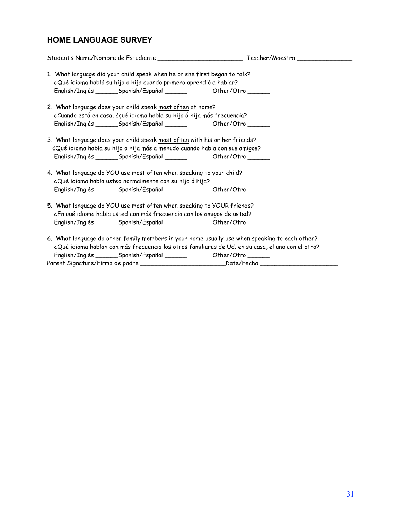## **HOME LANGUAGE SURVEY**

| 1. What language did your child speak when he or she first began to talk?<br>¿Qué idioma habló su hijo o hija cuando primero aprendió a hablar?                                                                                                                                                                                                             |                                |
|-------------------------------------------------------------------------------------------------------------------------------------------------------------------------------------------------------------------------------------------------------------------------------------------------------------------------------------------------------------|--------------------------------|
| 2. What language does your child speak most often at home?<br>¿Cuando está en casa, ¿qué idioma habla su hijo ó hija más frecuencia?                                                                                                                                                                                                                        |                                |
| 3. What language does your child speak most often with his or her friends?<br>¿Qué idioma habla su hijo o hija más a menudo cuando habla con sus amigos?                                                                                                                                                                                                    |                                |
| 4. What language do YOU use most often when speaking to your child?<br>¿Qué idioma habla usted normalmente con su hijo ó hija?<br>English/Inglés ________Spanish/Español _______                                                                                                                                                                            | Other/Otro $\_\_\_\_\_\_\_\_\$ |
| 5. What language do YOU use most often when speaking to YOUR friends?<br>¿En qué idioma habla usted con más frecuencia con los amigos de usted?                                                                                                                                                                                                             |                                |
| 6. What language do other family members in your home usually use when speaking to each other?<br>¿Qué idioma hablan con más frecuencia los otros familiares de Ud. en su casa, el uno con el otro?<br>English/Inglés ________Spanish/Español ________ Other/Otro ______<br>Parent Signature/Firma de padre __________________________________Date/Fecha __ |                                |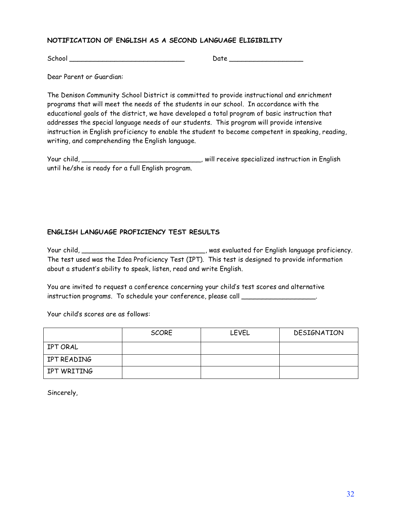#### **NOTIFICATION OF ENGLISH AS A SECOND LANGUAGE ELIGIBILITY**

School \_\_\_\_\_\_\_\_\_\_\_\_\_\_\_\_\_\_\_\_\_\_\_\_\_\_\_\_ Date \_\_\_\_\_\_\_\_\_\_\_\_\_\_\_\_\_\_

Dear Parent or Guardian:

The Denison Community School District is committed to provide instructional and enrichment programs that will meet the needs of the students in our school. In accordance with the educational goals of the district, we have developed a total program of basic instruction that addresses the special language needs of our students. This program will provide intensive instruction in English proficiency to enable the student to become competent in speaking, reading, writing, and comprehending the English language.

Your child, \_\_\_\_\_\_\_\_\_\_\_\_\_\_\_\_\_\_\_\_\_\_\_\_\_\_\_\_\_, will receive specialized instruction in English until he/she is ready for a full English program.

#### **ENGLISH LANGUAGE PROFICIENCY TEST RESULTS**

Your child, \_\_\_\_\_\_\_\_\_\_\_\_\_\_\_\_\_\_\_\_\_\_\_\_\_\_\_\_\_\_, was evaluated for English language proficiency. The test used was the Idea Proficiency Test (IPT). This test is designed to provide information about a student's ability to speak, listen, read and write English.

You are invited to request a conference concerning your child's test scores and alternative instruction programs. To schedule your conference, please call \_\_\_\_\_\_\_\_\_\_\_\_\_\_\_\_\_\_

Your child's scores are as follows:

|             | <b>SCORE</b> | <b>LEVEL</b> | DESIGNATION |  |  |  |
|-------------|--------------|--------------|-------------|--|--|--|
| IPT ORAL    |              |              |             |  |  |  |
| IPT READING |              |              |             |  |  |  |
| IPT WRITING |              |              |             |  |  |  |

Sincerely,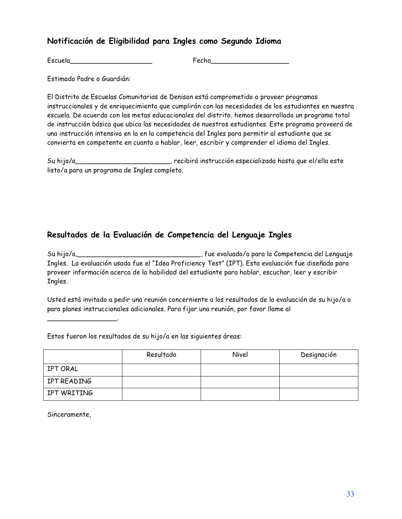## **Notificación de Eligibilidad para Ingles como Segundo Idioma**

Escuela\_\_\_\_\_\_\_\_\_\_\_\_\_\_\_\_\_\_\_\_ Fecha\_\_\_\_\_\_\_\_\_\_\_\_\_\_\_\_\_\_\_

Estimado Padre o Guardián:

El Distrito de Escuelas Comunitarias de Denison está comprometido a proveer programas instruccionales y de enriquecimiento que cumplirán con las necesidades de los estudiantes en nuestra escuela. De acuerdo con las metas educacionales del distrito, hemos desarrollado un programa total de instrucción básica que ubica las necesidades de nuestros estudiantes. Este programa proveerá de una instrucción intensiva en la en la competencia del Ingles para permitir al estudiante que se convierta en competente en cuanto a hablar, leer, escribir y comprender el idioma del Ingles.

Su hijo/a\_\_\_\_\_\_\_\_\_\_\_\_\_\_\_\_\_\_\_\_\_\_\_, recibirá instrucción especializada hasta que el/ella este listo/a para un programa de Ingles completo.

## **Resultados de la Evaluación de Competencia del Lenguaje Ingles**

Su hijo/a,\_\_\_\_\_\_\_\_\_\_\_\_\_\_\_\_\_\_\_\_\_\_\_\_\_\_\_\_\_\_, fue evaluado/a para la Competencia del Lenguaje Ingles. La evaluación usada fue el "Idea Proficiency Test" (IPT). Esta evaluación fue diseñado para proveer información acerca de la habilidad del estudiante para hablar, escuchar, leer y escribir Ingles.

Usted está invitado a pedir una reunión concerniente a los resultados de la evaluación de su hijo/a o para planes instruccionales adicionales. Para fijar una reunión, por favor llame al

Estos fueron los resultados de su hijo/a en las siguientes áreas:

|             | Resultado | Nivel | Designación |
|-------------|-----------|-------|-------------|
| IPT ORAL    |           |       |             |
| IPT READING |           |       |             |
| IPT WRITING |           |       |             |

Sinceramente,

\_\_\_\_\_\_\_\_\_\_\_\_\_\_\_\_\_.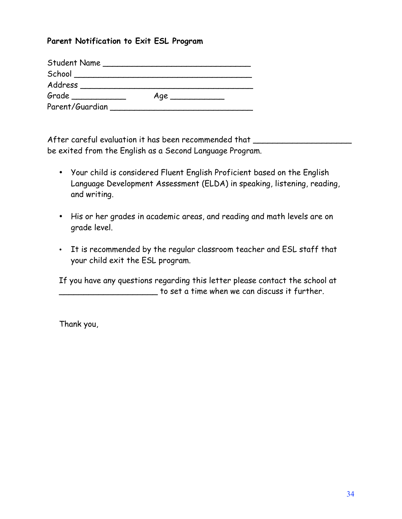## **Parent Notification to Exit ESL Program**

| <b>Student Name</b>           | the control of the control of |
|-------------------------------|-------------------------------|
| School ______________________ |                               |
| Address                       |                               |
| $Grade$ $\qquad$              | Age                           |
| Parent/Guardian               |                               |

After careful evaluation it has been recommended that \_\_\_\_\_\_\_\_\_\_\_\_\_\_\_\_\_\_\_\_\_\_\_\_\_\_ be exited from the English as a Second Language Program.

- Your child is considered Fluent English Proficient based on the English Language Development Assessment (ELDA) in speaking, listening, reading, and writing.
- His or her grades in academic areas, and reading and math levels are on grade level.
- It is recommended by the regular classroom teacher and ESL staff that your child exit the ESL program.

If you have any questions regarding this letter please contact the school at \_\_\_\_\_\_\_\_\_\_\_\_\_\_\_\_\_\_\_\_ to set a time when we can discuss it further.

Thank you,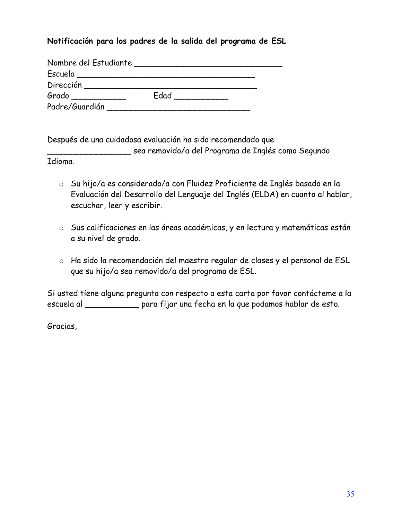## **Notificación para los padres de la salida del programa de ESL**

| Nombre del Estudiante                                          |      |  |
|----------------------------------------------------------------|------|--|
| Escuela<br>the contract of the contract of the contract of the |      |  |
| Dirección                                                      |      |  |
| Grado                                                          | Edad |  |
| Padre/Guardián                                                 |      |  |

Después de una cuidadosa evaluación ha sido recomendado que

\_\_\_\_\_\_\_\_\_\_\_\_\_\_\_\_\_ sea removido/a del Programa de Inglés como Segundo

Idioma.

- o Su hijo/a es considerado/a con Fluidez Proficiente de Inglés basado en la Evaluación del Desarrollo del Lenguaje del Inglés (ELDA) en cuanto al hablar, escuchar, leer y escribir.
- o Sus calificaciones en las áreas académicas, y en lectura y matemáticas están a su nivel de grado.
- o Ha sido la recomendación del maestro regular de clases y el personal de ESL que su hijo/a sea removido/a del programa de ESL.

Si usted tiene alguna pregunta con respecto a esta carta por favor contácteme a la escuela al \_\_\_\_\_\_\_\_\_\_\_ para fijar una fecha en la que podamos hablar de esto.

Gracias,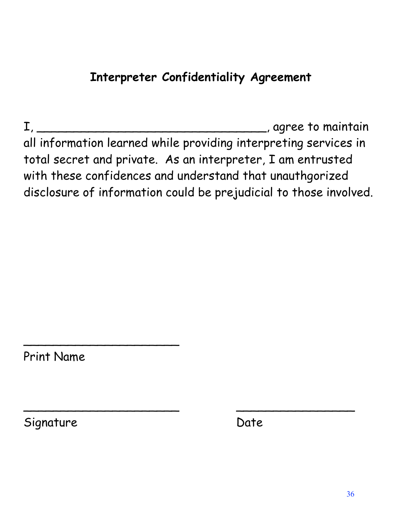## **Interpreter Confidentiality Agreement**

I, \_\_\_\_\_\_\_\_\_\_\_\_\_\_\_\_\_\_\_\_\_\_\_\_\_\_\_\_\_\_\_, agree to maintain all information learned while providing interpreting services in total secret and private. As an interpreter, I am entrusted with these confidences and understand that unauthgorized disclosure of information could be prejudicial to those involved.

\_\_\_\_\_\_\_\_\_\_\_\_\_\_\_\_\_\_\_\_\_ \_\_\_\_\_\_\_\_\_\_\_\_\_\_\_\_

Print Name

 $\sim$  . The contribution of the contribution of the contribution of the contribution of the contribution of the contribution of the contribution of the contribution of the contribution of the contribution of the contributi

Signature Date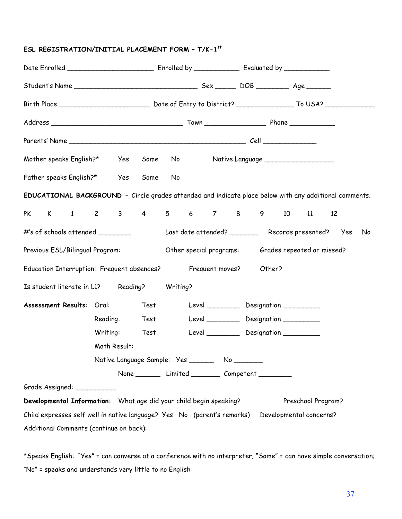## **ESL REGISTRATION/INITIAL PLACEMENT FORM – T/K-1st**

| Mother speaks English?*<br>Yes Some                                                                    | No provide a provide a provide a provide a provide a provide a provide a provide a provide a provide a provide |                                                               |
|--------------------------------------------------------------------------------------------------------|----------------------------------------------------------------------------------------------------------------|---------------------------------------------------------------|
| Father speaks English?*<br>Yes<br>Some                                                                 | No                                                                                                             |                                                               |
| EDUCATIONAL BACKGROUND - Circle grades attended and indicate place below with any additional comments. |                                                                                                                |                                                               |
| K 1 2 3 4 5 6 7 8 9 10 11<br><b>PK</b>                                                                 |                                                                                                                | 12                                                            |
| #'s of schools attended _________                                                                      |                                                                                                                | Last date attended? ____________ Records presented? Yes<br>No |
| Previous ESL/Bilingual Program:                                                                        |                                                                                                                | Other special programs: Grades repeated or missed?            |
| Education Interruption: Frequent absences?                                                             | Frequent moves?                                                                                                | Other?                                                        |
| Is student literate in L1? Reading?                                                                    | Writing?                                                                                                       |                                                               |
| Assessment Results: Oral:<br>Test                                                                      |                                                                                                                | Level Designation                                             |
| Reading:<br>Test                                                                                       |                                                                                                                | Level Designation                                             |
| Writing:<br>Test                                                                                       |                                                                                                                | Level Designation                                             |
| Math Result:                                                                                           |                                                                                                                |                                                               |
|                                                                                                        | Native Language Sample: Yes __________ No _________                                                            |                                                               |
|                                                                                                        | None __________ Limited __________ Competent __________                                                        |                                                               |
| Grade Assigned: __________                                                                             |                                                                                                                |                                                               |
| Developmental Information: What age did your child begin speaking?                                     |                                                                                                                | Preschool Program?                                            |
| Child expresses self well in native language? Yes No (parent's remarks)                                |                                                                                                                | Developmental concerns?                                       |
| Additional Comments (continue on back):                                                                |                                                                                                                |                                                               |

\*Speaks English: "Yes" = can converse at a conference with no interpreter; "Some" = can have simple conversation; "No" = speaks and understands very little to no English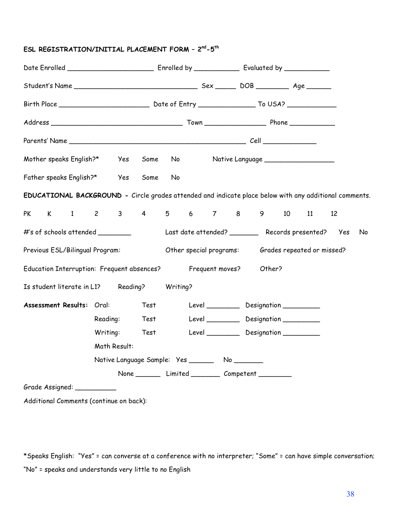#### **ESL REGISTRATION/INITIAL PLACEMENT FORM – 2nd -5th**

| Mother speaks English?* Yes                                                                            |          |     | Some | No provide a provide a provide a provide a provide a provide a provide a provide a provide a provide a provide |                                                        |  |  |        |    | Native Language _____________________ |    |    |
|--------------------------------------------------------------------------------------------------------|----------|-----|------|----------------------------------------------------------------------------------------------------------------|--------------------------------------------------------|--|--|--------|----|---------------------------------------|----|----|
| Father speaks English?*                                                                                |          | Yes | Some | No                                                                                                             |                                                        |  |  |        |    |                                       |    |    |
| EDUCATIONAL BACKGROUND - Circle grades attended and indicate place below with any additional comments. |          |     |      |                                                                                                                |                                                        |  |  |        |    |                                       |    |    |
| K 1 2 3 4 5 6 7 8 9<br><b>PK</b>                                                                       |          |     |      |                                                                                                                |                                                        |  |  |        | 10 | 11                                    | 12 |    |
| #'s of schools attended _________                                                                      |          |     |      |                                                                                                                | Last date attended? ___________ Records presented? Yes |  |  |        |    |                                       |    | No |
| Previous ESL/Bilingual Program:                                                                        |          |     |      |                                                                                                                | Other special programs: Grades repeated or missed?     |  |  |        |    |                                       |    |    |
| Education Interruption: Frequent absences?                                                             |          |     |      |                                                                                                                | Frequent moves?                                        |  |  | Other? |    |                                       |    |    |
| Is student literate in L1? Reading?                                                                    |          |     |      | Writing?                                                                                                       |                                                        |  |  |        |    |                                       |    |    |
| Assessment Results: Oral:                                                                              |          |     | Test |                                                                                                                | Level ____________ Designation ___________             |  |  |        |    |                                       |    |    |
|                                                                                                        | Reading: |     | Test |                                                                                                                | Level Designation                                      |  |  |        |    |                                       |    |    |
|                                                                                                        | Writing: |     | Test |                                                                                                                | Level Designation                                      |  |  |        |    |                                       |    |    |
| Math Result:                                                                                           |          |     |      |                                                                                                                |                                                        |  |  |        |    |                                       |    |    |
|                                                                                                        |          |     |      |                                                                                                                | Native Language Sample: Yes __________ No _________    |  |  |        |    |                                       |    |    |
|                                                                                                        |          |     |      |                                                                                                                | None __________ Limited __________ Competent _________ |  |  |        |    |                                       |    |    |
| Grade Assigned: __________                                                                             |          |     |      |                                                                                                                |                                                        |  |  |        |    |                                       |    |    |
| Additional Comments (continue on back):                                                                |          |     |      |                                                                                                                |                                                        |  |  |        |    |                                       |    |    |

\*Speaks English: "Yes" = can converse at a conference with no interpreter; "Some" = can have simple conversation; "No" = speaks and understands very little to no English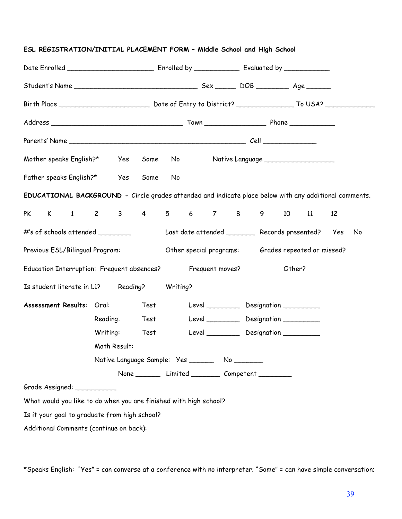| ESL REGISTRATION/INITIAL PLACEMENT FORM - Middle School and High School                                |                                                   |                                                      |          |                                                                                                                 |  |  |                                                         |  |  |    |    |  |
|--------------------------------------------------------------------------------------------------------|---------------------------------------------------|------------------------------------------------------|----------|-----------------------------------------------------------------------------------------------------------------|--|--|---------------------------------------------------------|--|--|----|----|--|
|                                                                                                        |                                                   |                                                      |          |                                                                                                                 |  |  |                                                         |  |  |    |    |  |
|                                                                                                        |                                                   |                                                      |          |                                                                                                                 |  |  |                                                         |  |  |    |    |  |
|                                                                                                        |                                                   |                                                      |          |                                                                                                                 |  |  |                                                         |  |  |    |    |  |
|                                                                                                        |                                                   |                                                      |          |                                                                                                                 |  |  |                                                         |  |  |    |    |  |
|                                                                                                        |                                                   |                                                      |          |                                                                                                                 |  |  |                                                         |  |  |    |    |  |
| Mother speaks English?* Yes                                                                            |                                                   | Some                                                 |          | No the set of the set of the set of the set of the set of the set of the set of the set of the set of the set o |  |  | Native Language ______________________                  |  |  |    |    |  |
| Father speaks English?* Yes                                                                            |                                                   | Some                                                 | No       |                                                                                                                 |  |  |                                                         |  |  |    |    |  |
| EDUCATIONAL BACKGROUND - Circle grades attended and indicate place below with any additional comments. |                                                   |                                                      |          |                                                                                                                 |  |  |                                                         |  |  |    |    |  |
| K 1 2 3 4 5 6 7 8 9 10 11<br><b>PK</b>                                                                 |                                                   |                                                      |          |                                                                                                                 |  |  |                                                         |  |  | 12 |    |  |
| #'s of schools attended _________                                                                      |                                                   |                                                      |          |                                                                                                                 |  |  | Last date attended __________ Records presented?    Yes |  |  |    | No |  |
| Previous ESL/Bilingual Program:                                                                        |                                                   |                                                      |          | Other special programs: Grades repeated or missed?                                                              |  |  |                                                         |  |  |    |    |  |
| Education Interruption: Frequent absences?                                                             |                                                   |                                                      |          | Frequent moves?<br>Other?                                                                                       |  |  |                                                         |  |  |    |    |  |
| Is student literate in L1? Reading?                                                                    |                                                   |                                                      | Writing? |                                                                                                                 |  |  |                                                         |  |  |    |    |  |
| <b>Assessment Results: Oral:</b>                                                                       |                                                   | Test                                                 |          |                                                                                                                 |  |  | Level ____________ Designation __________               |  |  |    |    |  |
|                                                                                                        | Reading:                                          | Test                                                 |          |                                                                                                                 |  |  | Level ____________ Designation __________               |  |  |    |    |  |
|                                                                                                        | Writing:                                          | Test                                                 |          |                                                                                                                 |  |  | Level ___________ Designation __________                |  |  |    |    |  |
|                                                                                                        | Math Result:                                      |                                                      |          |                                                                                                                 |  |  |                                                         |  |  |    |    |  |
|                                                                                                        | Native Language Sample: Yes _________ No ________ |                                                      |          |                                                                                                                 |  |  |                                                         |  |  |    |    |  |
|                                                                                                        |                                                   | None _________ Limited _________ Competent _________ |          |                                                                                                                 |  |  |                                                         |  |  |    |    |  |
| Grade Assigned: _________                                                                              |                                                   |                                                      |          |                                                                                                                 |  |  |                                                         |  |  |    |    |  |
| What would you like to do when you are finished with high school?                                      |                                                   |                                                      |          |                                                                                                                 |  |  |                                                         |  |  |    |    |  |
| Is it your goal to graduate from high school?                                                          |                                                   |                                                      |          |                                                                                                                 |  |  |                                                         |  |  |    |    |  |
| Additional Comments (continue on back):                                                                |                                                   |                                                      |          |                                                                                                                 |  |  |                                                         |  |  |    |    |  |

\*Speaks English: "Yes" = can converse at a conference with no interpreter; "Some" = can have simple conversation;